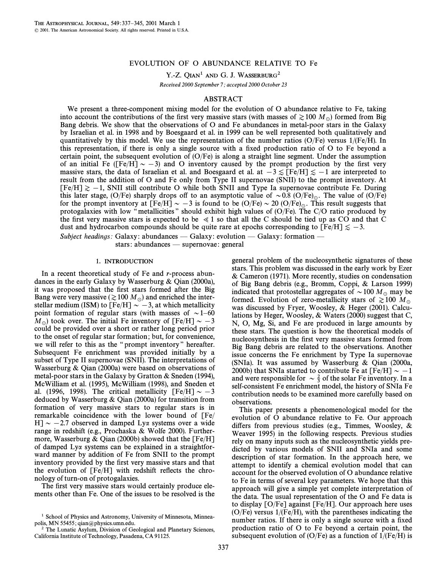# EVOLUTION OF O ABUNDANCE RELATIVE TO Fe

Y.-Z. QIAN<sup>1</sup> AND G. J. WASSERBURG<sup>2</sup>

Received 2000 September 7; accepted 2000 October 23

## ABSTRACT

We present a three-component mixing model for the evolution of O abundance relative to Fe, taking into account the contributions of the first very massive stars (with masses of  $\gtrsim 100 M_{\odot}$ ) formed from Big Bang debris. We show that the observations of O and Fe abundances in metal-poor stars in the Galaxy by Israelian et al. in 1998 and by Boesgaard et al. in 1999 can be well represented both qualitatively and quantitatively by this model. We use the representation of the number ratios (O/Fe) versus  $1/(Fe/H)$ . In this representation, if there is only a single source with a fixed production ratio of  $O$  to Fe beyond a certain point, the subsequent evolution of  $(O/Fe)$  is along a straight line segment. Under the assumption of an initial Fe ( $[Fe/H] \sim -3$ ) and O inventory caused by the prompt production by the first very massive stars, the data of Israelian et al. and Boesgaard et al. at  $-3 \leq$  [Fe/H] $\leq -1$  are interpreted to result from the addition of O and Fe only from Type II supernovae (SNII) to the prompt inventory. At  $[Fe/H] \gtrsim -1$ , SNII still contribute O while both SNII and Type Ia supernovae contribute Fe. During this later stage, (O/Fe) sharply drops off to an asymptotic value of  $\sim 0.8$  (O/Fe)<sub>0</sub>. The value of (O/Fe) for the prompt inventory at  $[Fe/H] \sim -3$  is found to be  $(O/Fe) \sim 20$   $(O/Fe)_\odot$ . This result suggests that protogalaxies with low "metallicities" should exhibit high values of  $(O/Fe)$ . The  $C/O$  ratio produced by the first very massive stars is expected to be  $\ll 1$  so that all the C should be tied up as CO and that C dust and hydrocarbon compounds should be quite rare at epochs corresponding to  $[Fe/H] \le -3$ .

Subject headings: Galaxy: abundances — Galaxy: evolution — Galaxy: formation —

stars: abundances — supernovae: general

### 1. INTRODUCTION

In a recent theoretical study of Fe and r-process abundances in the early Galaxy by Wasserburg & Qian (2000a), it was proposed that the first stars formed after the Big Bang were very massive ( $\gtrsim 100 M_\odot$ ) and enriched the interstellar medium (ISM) to  $[Fe/H] \sim -3$ , at which metallicity point formation of regular stars (with masses of  $\sim$  1–60  $M_{\odot}$ ) took over. The initial Fe inventory of [Fe/H]  $\sim -3$ could be provided over a short or rather long period prior to the onset of regular star formation ; but, for convenience, we will refer to this as the "prompt inventory" hereafter. Subsequent Fe enrichment was provided initially by a subset of Type II supernovae (SNII). The interpretations of Wasserburg & Qian (2000a) were based on observations of metal-poor stars in the Galaxy by Gratton & Sneden (1994), McWilliam et al. (1995), McWilliam (1998), and Sneden et al. (1996, 1998). The critical metallicity  $\lceil \text{Fe/H} \rceil \sim -3$ deduced by Wasserburg & Qian (2000a) for transition from formation of very massive stars to regular stars is in remarkable coincidence with the lower bound of [Fe/ H]  $\sim$  -2.7 observed in damped Lya systems over a wide range in redshift (e.g., Prochaska & Wolfe 2000). Furthermore, Wasserburg & Qian (2000b) showed that the  $[Fe/H]$ of damped Lya systems can be explained in a straightforward manner by addition of Fe from SNII to the prompt inventory provided by the first very massive stars and that the evolution of  $[Fe/H]$  with redshift reflects the chronology of turn-on of protogalaxies.

The first very massive stars would certainly produce elements other than Fe. One of the issues to be resolved is the general problem of the nucleosynthetic signatures of these stars. This problem was discussed in the early work by Ezer & Cameron (1971). More recently, studies on condensation of Big Bang debris (e.g., Bromm, Coppi, & Larson 1999) indicated that protostellar aggregates of  $\sim$  100  $M_\odot$  may be formed. Evolution of zero-metallicity stars of  $\gtrsim 100 M_\odot$ was discussed by Fryer, Woosley, & Heger (2001). Calculations by Heger, Woosley, & Waters (2000) suggest that C, N, O, Mg, Si, and Fe are produced in large amounts by these stars. The question is how the theoretical models of nucleosynthesis in the first very massive stars formed from Big Bang debris are related to the observations. Another issue concerns the Fe enrichment by Type Ia supernovae (SNIa). It was assumed by Wasserburg & Qian (2000a, 2000b) that SNIa started to contribute Fe at [Fe/H]  $\sim -1$ and were responsible for  $\sim \frac{2}{3}$  of the solar Fe inventory. In a self-consistent Fe enrichment model, the history of SNIa Fe contribution needs to be examined more carefully based on observations.

This paper presents a phenomenological model for the evolution of O abundance relative to Fe. Our approach differs from previous studies (e.g., Timmes, Woosley, & Weaver 1995) in the following respects. Previous studies rely on many inputs such as the nucleosynthetic yields predicted by various models of SNII and SNIa and some description of star formation. In the approach here, we attempt to identify a chemical evolution model that can account for the observed evolution of O abundance relative to Fe in terms of several key parameters. We hope that this approach will give a simple yet complete interpretation of the data. The usual representation of the O and Fe data is to display [O/Fe] against [Fe/H]. Our approach here uses  $(O/Fe)$  versus  $1/(Fe/H)$ , with the parentheses indicating the number ratios. If there is only a single source with a fixed production ratio of O to Fe beyond a certain point, the subsequent evolution of  $(O/Fe)$  as a function of  $1/(Fe/H)$  is

<sup>&</sup>lt;sup>1</sup> School of Physics and Astronomy, University of Minnesota, Minneapolis, MN 55455; qian@physics.umn.edu.

The Lunatic Asylum, Division of Geological and Planetary Sciences, California Institute of Technology, Pasadena, CA 91125.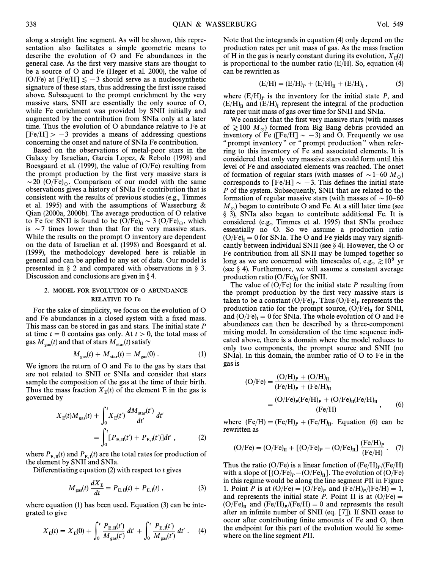along a straight line segment. As will be shown, this representation also facilitates a simple geometric means to describe the evolution of O and Fe abundances in the general case. As the first very massive stars are thought to be a source of O and Fe (Heger et al. 2000), the value of (O/Fe) at [Fe/H]  $\le -3$  should serve as a nucleosynthetic signature of these stars, thus addressing the first issue raised above. Subsequent to the prompt enrichment by the very massive stars, SNII are essentially the only source of O, while Fe enrichment was provided by SNII initially and augmented by the contribution from SNIa only at a later time. Thus the evolution of O abundance relative to Fe at  $[Fe/H] > -3$  provides a means of addressing questions concerning the onset and nature of SNIa Fe contribution.

Based on the observations of metal-poor stars in the Galaxy by Israelian, Garcia Lopez, & Rebolo (1998) and Boesgaard et al. (1999), the value of (O/Fe) resulting from the prompt production by the first very massive stars is  $\sim$  20 (O/Fe)<sub> $\odot$ </sub>. Comparison of our model with the same observations gives a history of SNIa Fe contribution that is consistent with the results of previous studies (e.g., Timmes et al. 1995) and with the assumptions of Wasserburg & Qian (2000a, 2000b). The average production of O relative to Fe for SNII is found to be  $(O/Fe)_{II} \sim 3 (O/Fe)_{\odot}$ , which is  $\sim$  7 times lower than that for the very massive stars. While the results on the prompt O inventory are dependent on the data of Israelian et al. (1998) and Boesgaard et al. (1999), the methodology developed here is reliable in general and can be applied to any set of data. Our model is presented in  $\S$  2 and compared with observations in  $\S$  3. Discussion and conclusions are given in  $\S$  4.

### 2. MODEL FOR EVOLUTION OF O ABUNDANCE RELATIVE TO Fe

For the sake of simplicity, we focus on the evolution of O and Fe abundances in a closed system with a fixed mass. This mass can be stored in gas and stars. The initial state P at time  $t = 0$  contains gas only. At  $t > 0$ , the total mass of gas  $M_{\text{gas}}(t)$  and that of stars  $M_{\text{star}}(t)$  satisfy

$$
M_{\rm gas}(t) + M_{\rm star}(t) = M_{\rm gas}(0) \ . \tag{1}
$$

We ignore the return of O and Fe to the gas by stars that are not related to SNII or SNIa and consider that stars sample the composition of the gas at the time of their birth. Thus the mass fraction  $X_{\text{E}}(t)$  of the element E in the gas is governed by governed by

$$
X_{\rm E}(t)M_{\rm gas}(t) + \int_0^t X_{\rm E}(t') \frac{dM_{\rm star}(t')}{dt'} dt'
$$
  
= 
$$
\int_0^t [P_{\rm E, II}(t') + P_{\rm E, I}(t')]dt', \qquad (2)
$$

where  $P_{\text{E,II}}(t)$  and  $P_{\text{E,II}}(t)$  are the total rates for production of the element by SNII and SNIa.

Differentiating equation  $(2)$  with respect to t gives

$$
M_{\rm gas}(t) \frac{dX_{\rm E}}{dt} = P_{\rm E,II}(t) + P_{\rm E,II}(t) , \qquad (3)
$$

where equation (1) has been used. Equation (3) can be integrated to give

$$
X_{\rm E}(t) = X_{\rm E}(0) + \int_0^t \frac{P_{\rm E, II}(t')}{M_{\rm gas}(t')} dt' + \int_0^t \frac{P_{\rm E, I}(t')}{M_{\rm gas}(t')} dt' \ . \tag{4}
$$

Note that the integrands in equation (4) only depend on the production rates per unit mass of gas. As the mass fraction of H in the gas is nearly constant during its evolution,  $X_{E}(t)$ <br>is proportional to the number ratio (E/H). So, equation (A) is proportional to the number ratio  $(E/H)$ . So, equation (4) can be rewritten as

$$
(E/H) = (E/H)_P + (E/H)_I + (E/H)_I ,
$$
 (5)

where  $(E/H)_P$  is the inventory for the initial state  $P$ , and  $(E/H)_I$  represent the integral of the production rate per unit mass of gas over time for SNII and SNIa.

We consider that the first very massive stars (with masses of  $\gtrsim 100$  M<sub>o</sub>) formed from Big Bang debris provided an inventory of Fe ([Fe/H]  $\sim$  -3) and O. Frequently we use " prompt inventory " or " prompt production " when referring to this inventory of Fe and associated elements. It is considered that only very massive stars could form until this level of Fe and associated elements was reached. The onset of formation of regular stars (with masses of  $\sim$  1–60 M<sub>o</sub>) corresponds to  $[Fe/H] \sim -3$ . This defines the initial state P of the system. Subsequently, SNII that are related to the formation of regular massive stars (with masses of  $\sim$  10–60  $M_{\odot}$ ) began to contribute O and Fe. At a still later time (see § 3), SNIa also began to contribute additional Fe. It is considered (e.g., Timmes et al. 1995) that SNIa produce essentially no O. So we assume a production ratio  $(O/Fe)$ <sub>I</sub> = 0 for SNIa. The O and Fe yields may vary significantly between individual SNII (see 8.4). However, the O or cantly between individual SNII (see  $\S$  4). However, the O or Fe contribution from all SNII may be lumped together so long as we are concerned with timescales of, e.g.,  $\geq 10^8$  yr (see § 4). Furthermore, we will assume a constant average production ratio  $(O/Fe)_{II}$  for SNII.

The value of  $(O/Fe)$  for the initial state P resulting from the prompt production by the first very massive stars is taken to be a constant  $(O/Fe)_P$ . Thus  $(O/Fe)_P$  represents the production ratio for the prompt source,  $(O/Fe)_H$  for SNII, taken to be a constant  $(O/Fe)_P$ . Thus  $(O/Fe)_P$  represents the production ratio for the prompt source,  $(O/Fe)_I$  for SNII, and  $(O/Fe)_I = 0$  for SNIa. The whole evolution of O and Fe abundances can then be described by a three-co abundances can then be described by a three-component mixing model. In consideration of the time sequence indicated above, there is a domain where the model reduces to only two components, the prompt source and SNII (no SNIa). In this domain, the number ratio of O to Fe in the gas is

$$
(O/Fe) = \frac{(O/H)_P + (O/H)_H}{(Fe/H)_P + (Fe/H)_H}
$$
  
= 
$$
\frac{(O/Fe)_P(Fe/H)_P + (O/Fe)_H(Fe/H)_H}{(Fe/H)}
$$
, (6)

where  $(Fe/H) = (Fe/H)_P + (Fe/H)_I$ . Equation (6) can be rewritten as

$$
(\mathrm{O/Fe}) = (\mathrm{O/Fe})_{II} + [(\mathrm{O/Fe})_{P} - (\mathrm{O/Fe})_{II}] \frac{(\mathrm{Fe/H})_{P}}{(\mathrm{Fe/H})} . \quad (7)
$$

Thus the ratio (O/Fe) is a linear function of  $(Fe/H)_P/(Fe/H)$ <br>with a slope of  $F(O/Fe) = (O/Fe)^{-1}$ . The evolution of  $(O/Fe)$ with a slope of  $[(O/Fe)_P - (O/Fe)_H]$ . The evolution of  $(O/Fe)_P$ <br>in this regime would be along the line segment PII in Figure in this regime would be along the line segment PII in Figure 1. Point P is at  $(O/Fe) = (O/Fe)_P$  and  $(Fe/H)_P/(Fe/H) = 1$ ,<br>and represents the initial state P. Point H is at  $(O/Fe)_P$ and represents the initial state P. Point II is at  $(O/Fe)$  =  $(O/Fe)$ <sub>II</sub> and  $(Fe/H)_P/(Fe/H) = 0$  and represents the result after an infinite number of SNII (eq. [7]). If SNII cease to after an infinite number of SNII (eq. [7]). If SNII cease to occur after contributing finite amounts of Fe and O, then the endpoint for this part of the evolution would lie somewhere on the line segment PII.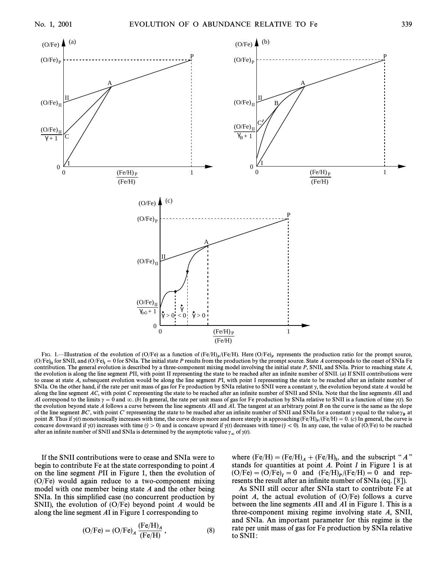

FIG. 1.—Illustration of the evolution of (O/Fe) as a function of (Fe/H)<sub>p</sub>/(Fe/H). Here (O/Fe)<sub>p</sub> represents the production ratio for the prompt source,<br>(O/Fe)<sub>II</sub> for SNII, and (O/Fe)<sub>I</sub> = 0 for SNIa. The initial state P  $(O/Fe)$ <sub>II</sub> for SNII, and  $(O/Fe)$ <sub>I</sub> = 0 for SNIa. The initial state P results from the production by the prompt source. State A corresponds to the onset of SNIa Fe contribution. The general evolution is described by a three-component mixing model involving the initial state P, SNII, and SNIa. Prior to reaching state A, the evolution is along the line segment PII, with point II representing the state to be reached after an infinite number of SNII. (a) If SNII contributions were to cease at state A, subsequent evolution would be along the line segment PI, with point I representing the state to be reached after an infinite number of SNIa. On the other hand, if the rate per unit mass of gas for Fe production by SNIa relative to SNII were a constant  $\gamma$ , the evolution beyond state A would be along the line segment AC, with point C representing the state to be reached after an infinite number of SNII and SNIa. Note that the line segments AII and AI correspond to the limits  $\gamma = 0$  and  $\infty$ . (b) In general, the rate per unit mass of gas for Fe production by SNIa relative to SNII is a function of time  $\gamma(t)$ . So the evolution beyond state  $\vec{A}$  follows a curve between the line segments  $\vec{A}$ II and  $\vec{A}$ I. The tangent at an arbitrary point  $\vec{B}$  on the curve is the same as the slope of the line segment BC', with point C' representing the state to be reached after an infinite number of SNII and SNIa for a constant  $\gamma$  equal to the value  $\gamma_R$  at  $B$  point B. Thus if  $\eta$  (t) monotonically increases with time, the curve drops more and more steeply in approaching (Fe/H) $_P/(Fe/H) = 0$ ,  $C$ ) In general, the curve is  $\eta$  is  $C$  on  $\eta$  and  $\eta$  is concave is probability concave downward if  $\gamma(t)$  increases with time  $(\dot{\gamma} > 0)$  and is concave upward if  $\gamma(t)$  decreases with time  $(\dot{\gamma} < 0)$ . In any case, the value of (O/Fe) to be reached after an infinite number of SNII and SNIa is determined by the asymptotic value  $\gamma_{\infty}$  of  $\gamma(t)$ .

If the SNII contributions were to cease and SNIa were to begin to contribute Fe at the state corresponding to point A on the line segment PII in Figure 1, then the evolution of (O/Fe) would again reduce to a two-component mixing model with one member being state  $A$  and the other being SNIa. In this simplified case (no concurrent production by SNII), the evolution of  $(O/Fe)$  beyond point A would be along the line segment AI in Figure 1 corresponding to

$$
(\text{O/Fe}) = (\text{O/Fe})_A \frac{(\text{Fe/H})_A}{(\text{Fe/H})},\tag{8}
$$

where  $(Fe/H) = (Fe/H)_A + (Fe/H)_I$ , and the subscript "A"<br>stands for quantities at point A. Point I in Figure 1 is at stands for quantities at point  $A$ . Point  $I$  in Figure 1 is at  $(O/Fe) = (O/Fe)_I = 0$  and  $(Fe/H)_P/(Fe/H) = 0$  and rep-<br>recents the result after an infinite number of SNIa (eq. 581) resents the result after an infinite number of SNIa (eq. [8]).

As SNII still occur after SNIa start to contribute Fe at point A, the actual evolution of  $(O/Fe)$  follows a curve between the line segments AII and AI in Figure 1. This is a three-component mixing regime involving state A, SNII, and SNIa. An important parameter for this regime is the rate per unit mass of gas for Fe production by SNIa relative to SNII :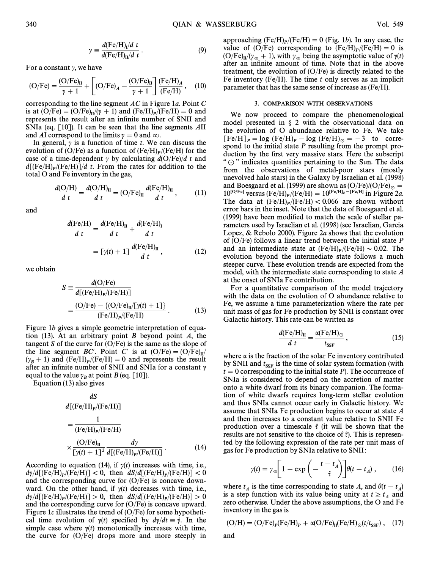$$
\gamma \equiv \frac{d(\text{Fe/H})_l/d \ t}{d(\text{Fe/H})_{\text{II}}/d \ t} \,. \tag{9}
$$

For a constant  $\gamma$ , we have

$$
(\text{O/Fe}) = \frac{(\text{O/Fe})_{\text{II}}}{\gamma + 1} + \left[ (\text{O/Fe})_A - \frac{(\text{O/Fe})_{\text{II}}}{\gamma + 1} \right] \frac{(\text{Fe/H})_A}{(\text{Fe/H})}, \quad (10)
$$

corresponding to the line segment AC in Figure 1a. Point C is at  $(O/Fe) = (O/Fe)_{II}/(v + 1)$  and  $(Fe/H)_P/(Fe/H) = 0$  and<br>represents the result after an infinite number of SNII and represents the result after an infinite number of SNII and SNIa (eq. [10]). It can be seen that the line segments AII and AI correspond to the limits  $\gamma = 0$  and  $\infty$ .

In general,  $\gamma$  is a function of time t. We can discuss the evolution of (O/Fe) as a function of  $(Fe/H)_P/(Fe/H)$  for the case of a time dependent  $x$  by calculating  $d(O/Fe)/d$  t and case of a time-dependent  $\gamma$  by calculating  $d(O/Fe)/d t$  and  $d[(Fe/H)]/Fe/H]/d$  t. From the rates for addition to the ratel Q and Fe inventory in the gas total O and Fe inventory in the gas,

$$
\frac{d(\mathrm{O/H})}{d\ t} = \frac{d(\mathrm{O/H})_{\mathrm{II}}}{d\ t} = (\mathrm{O/Fe})_{\mathrm{II}}\,\frac{d(\mathrm{Fe/H})_{\mathrm{II}}}{d\ t}\,,\tag{11}
$$

and

$$
\frac{d(\text{Fe/H})}{d\ t} = \frac{d(\text{Fe/H})_{II}}{d\ t} + \frac{d(\text{Fe/H})_{I}}{d\ t}
$$

$$
= \left[\gamma(t) + 1\right] \frac{d(\text{Fe/H})_{II}}{d\ t},\tag{12}
$$

we obtain

$$
S = \frac{d(O/Fe)}{d[(Fe/H)_P/(Fe/H)]}
$$
  
= 
$$
\frac{(O/Fe) - \{(O/Fe)_H/[{\gamma(t) + 1}]\}}{(Fe/H)_P/(Fe/H)}
$$
 (13)

Figure 1b gives a simple geometric interpretation of equation  $(13)$ . At an arbitrary point B beyond point A, the tangent S of the curve for  $(O/Fe)$  is the same as the slope of the line segment BC'. Point C' is at  $(O/Fe) = (O/Fe)_{II}/$  $(\gamma_B + 1)$  and  $(Fe/H)_P/(Fe/H) = 0$  and represents the result<br>after an infinite number of SNII and SNIa for a constant  $\gamma$ after an infinite number of SNII and SNIa for a constant  $\gamma$ equal to the value  $\gamma_B$  at point B (eq. [10]).<br>Equation (13) also gives

$$
\frac{dS}{d[(Fe/H)_P/(Fe/H)]}
$$
\n
$$
= \frac{1}{(Fe/H)_P/(Fe/H)}
$$
\n
$$
\times \frac{(O/Fe)_{II}}{[\gamma(t) + 1]^2} \frac{d\gamma}{d[(Fe/H)_P/(Fe/H)]}.
$$
\n(14)

According to equation (14), if  $\gamma(t)$  increases with time, i.e.,  $\frac{d\gamma}{d}$  (Fe/H)<sub>p</sub>/(Fe/H)] < 0, then  $\frac{dS}{d}$  (Fe/H)<sub>p</sub>/(Fe/H)] < 0 and the corresponding curve for  $(O/Fe)$  is concave downward. On the other hand, if  $y(t)$  decreases with time, i.e.,  $\frac{d\gamma}{d}$ [(Fe/H)<sub>p</sub>/(Fe/H)] > 0, then  $\frac{dS}{d}$ [(Fe/H)<sub>p</sub>/(Fe/H)] > 0 and the corresponding curve for  $(O/Fe)$  is concave upward. Figure 1c illustrates the trend of  $(O/Fe)$  for some hypothetical time evolution of  $\gamma(t)$  specified by  $d\gamma/dt \equiv \dot{\gamma}$ . In the simple case where  $y(t)$  monotonically increases with time, the curve for (O/Fe) drops more and more steeply in

approaching  $(Fe/H)_P/(Fe/H) = 0$  (Fig. 1b). In any case, the Palmachine to  $(Fe/H)_P/(Fe/H) = 0$  is value of  $(O/Fe)$  corresponding to  $(Fe/H)_P/(Fe/H) = 0$  is  $(O/Fe)$  /(n, 1) with n, being the asymptotic value of  $v(t)$  $(O/Fe)_{II}/(\gamma_{\infty} + 1)$ , with  $\gamma_{\infty}$  being the asymptotic value of  $\gamma(t)$ <br>ofter an infinite amount of time. Note that in the above after an infinite amount of time. Note that in the above treatment, the evolution of  $(O/Fe)$  is directly related to the Fe inventory (Fe/H). The time  $t$  only serves as an implicit parameter that has the same sense of increase as (Fe/H).

#### 3. COMPARISON WITH OBSERVATIONS

We now proceed to compare the phenomenological model presented in  $\S$  2 with the observational data on the evolution of O abundance relative to Fe. We take  $[Fe/H]_P = \log (Fe/H)_P - \log (Fe/H)_\odot = -3$  to correspond to the initial state P resulting from the prompt production by the first very massive stars. Here the subscript " $\odot$ " indicates quantities pertaining to the Sun. The data from the observations of metal-poor stars (mostly unevolved halo stars) in the Galaxy by Israelian et al. (1998) and Boesgaard et al. (1999) are shown as  $(O/Fe)/(O/Fe)_\odot = 10^{[O/Fe]}$  versus (Ee/H) /(Ee/H)  $-10^{[Fe/H]}$  r Figure 2a  $10^{[O/Fe]}$  versus  $(Fe/H)_P/(Fe/H) = 10^{[Fe/H]}e^{-[Fe/H]}$  in Figure 2*a.*<br>The data at  $(Fe/H)$ . (Fe/H) < 0.066 are shown without The data at  $(Fe/H)_P/(Fe/H) < 0.066$  are shown without error bars in the inset. Note that the data of Boesgaard et al. error bars in the inset. Note that the data of Boesgaard et al. (1999) have been modified to match the scale of stellar parameters used by Israelian et al. (1998) (see Israelian, Garcia Lopez, & Rebolo 2000). Figure 2a shows that the evolution of  $(O/Fe)$  follows a linear trend between the initial state P and an intermediate state at  $(Fe/H)_P/(Fe/H) \sim 0.02$ . The evolution beyond the intermediate state follows a much evolution beyond the intermediate state follows a much steeper curve. These evolution trends are expected from the model, with the intermediate state corresponding to state A at the onset of SNIa Fe contribution.

For a quantitative comparison of the model trajectory with the data on the evolution of O abundance relative to Fe, we assume a time parameterization where the rate per unit mass of gas for Fe production by SNII is constant over Galactic history. This rate can be written as

$$
\frac{d(\text{Fe/H})_{\text{II}}}{d\ t} = \frac{\alpha(\text{Fe/H})_{\odot}}{t_{\text{SSF}}},\tag{15}
$$

where  $\alpha$  is the fraction of the solar Fe inventory contributed by SNII and  $t_{\text{SSF}}$  is the time of solar system formation (with  $t = 0$  corresponding to the initial state P). The occurrence of SNIa is considered to depend on the accretion of matter onto a white dwarf from its binary companion. The formation of white dwarfs requires long-term stellar evolution and thus SNIa cannot occur early in Galactic history. We assume that SNIa Fe production begins to occur at state A and then increases to a constant value relative to SNII Fe production over a timescale  $\hat{\tau}$  (it will be shown that the results are not sensitive to the choice of  $\hat{\tau}$ ). This is represented by the following expression of the rate per unit mass of

gas for Fe production by SNIa relative to SNII:  
\n
$$
\gamma(t) = \gamma_{\infty} \left[ 1 - \exp\left( -\frac{t - t_A}{\hat{\tau}} \right) \right] \theta(t - t_A), \qquad (16)
$$

where  $t_A$  is the time corresponding to state A, and  $\theta(t - t_A)$ <br>is a stan function with its value being unity at  $t > t$  and is a step function with its value being unity at  $t \ge t_A$  and  $\sum_{i=1}^{t_A} t_A$ zero otherwise. Under the above assumptions, the  $O$  and  $Fe$ inventory in the gas is

$$
(\text{O/H}) = (\text{O/Fe})_P(\text{Fe/H})_P + \alpha(\text{O/Fe})_{II}(\text{Fe/H})_{\odot}(t/t_{\text{SSF}}), \quad (17)
$$

and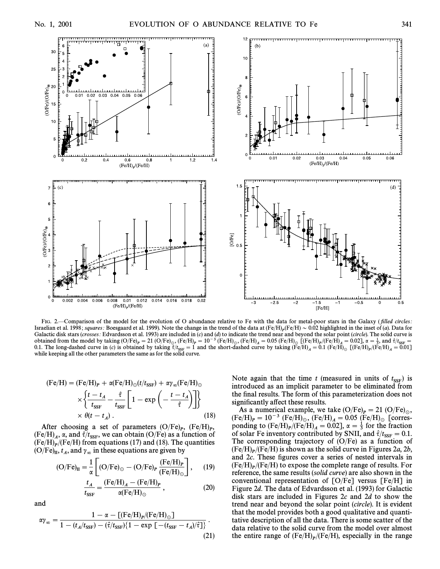

FIG. 2.—Comparison of the model for the evolution of O abundance relative to Fe with the data for metal-poor stars in the Galaxy (filled circles: Israelian et al. 1998; squares: Boesgaard et al. 1999). Note the change in the trend of the data at  $(Fe/H)_P(Fe/H) \sim 0.02$  highlighted in the inset of (*a*). Data for Galactic disk stars (*grosses*: Edvardsson et al. 1993) ar Galactic disk stars (crosses: Edvardsson et al. 1993) are included in  $(c)$  and  $(d)$  to indicate the trend near and beyond the solar point (circle). The solid curve is obtained from the model by taking  $(O/Fe)_P = 21 \ (O/Fe)_0$ ,  $(Fe/H)_P = 10^{-3} \ (Fe/H)_0$ ,  $(Fe/H)_A = 0.05 \ (Fe/H)_0 \ (Fe/H)_0$   $[Fe/H)_P / (Fe/H)_A = 0.02$ ,  $\alpha = \frac{1}{3}$ , and  $\hat{\tau}/f_{\text{SSF}} = 0.02$ ,  $\alpha = \frac{1}{3}$ , and  $\hat{\tau}/f_{\text{SSF}} = 0.02$ ,  $\alpha = \frac{1}{3}$ 3.1. The long-dashed curve in (c) is obtained by taking  $\frac{S(G/L)F}{F} = 1$  and  $\frac{S(G/L)F}{F} = 1$  and  $\frac{S(G/L)F}{F} = 1$  and  $\frac{S(G/L)F}{F} = 1$  and  $\frac{S(G/L)F}{F} = 1$  and  $\frac{S(G/L)F}{F} = 1$  and  $\frac{S(G/L)F}{F} = 1$  and  $\frac{S(G/L)F}{F} = 1$  a while keeping all the other parameters the same as for the solid curve.

$$
(\text{Fe/H}) = (\text{Fe/H})_P + \alpha (\text{Fe/H})_{\odot} (t/t_{\text{SSF}}) + \alpha \gamma_{\infty} (\text{Fe/H})_{\odot}
$$

$$
\times \left\{ \frac{t - t_A}{t_{\text{SSF}}} - \frac{\hat{\tau}}{t_{\text{SSF}}} \left[ 1 - \exp\left( -\frac{t - t_A}{\hat{\tau}} \right) \right] \right\}
$$

$$
\times \theta (t - t_A) . \tag{18}
$$

After choosing a set of parameters  $(O/Fe)_P$ ,  $(Fe/H)_P$ ,<br>e/H)  $\alpha$  and  $\hat{\epsilon}/t$  we can obtain  $(O/Fe)$  as a function of  $(Fe/H)_A$ ,  $\alpha$ , and  $\hat{\tau}/t_{\text{SSF}}$ , we can obtain (O/Fe) as a function of  $(Fe/H)$  (Fe/H) from equations (17) and (18). The quantities  $(Fe/H)_P/(Fe/H)$  from equations (17) and (18). The quantities  $(ORe)$  to and  $\gamma$  in these equations are given by

(O/Fe)<sub>H</sub>, 
$$
t_A
$$
, and  $\gamma_{\infty}$  in these equations are given by  
\n
$$
(O/Fe)_{II} = \frac{1}{\alpha} \left[ (O/Fe)_{\odot} - (O/Fe)_{P} \frac{(Fe/H)_{P}}{(Fe/H)_{\odot}} \right], \quad (19)
$$

$$
\frac{t_A}{t_{\text{SSF}}} = \frac{(\text{Fe/H})_A - (\text{Fe/H})_P}{\alpha(\text{Fe/H})_\odot} , \qquad (20)
$$

and

$$
\alpha \gamma_{\infty} = \frac{1 - \alpha - \left[ \left( \text{Fe/H} \right)_{P} / \left( \text{Fe/H} \right)_{\odot} \right]}{1 - \left( t_{A} / t_{\text{SSF}} \right) - \left( \hat{\tau} / t_{\text{SSF}} \right) \left\{ 1 - \exp \left[ - (t_{\text{SSF}} - t_{A}) / \hat{\tau} \right] \right\}} \,. \tag{21}
$$

Note again that the time  $t$  (measured in units of  $t_{SSF}$ ) is<br>introduced as an implicit parameter to be eliminated from introduced as an implicit parameter to be eliminated from the final results. The form of this parameterization does not significantly affect these results.

As a numerical example, we take  $(O/Fe)_P = 21$   $(O/Fe)_\odot$ ,  $(\text{Fe/H})_p = 10^{-3} \text{ (Fe/H)}_{\odot}$ ,  $(\text{Fe/H})_A = 0.05 \text{ (Fe/H)}_{\odot}$  [corres-<br>ponding to (Fe/H),  $(\text{Fe/H})_Q = 0.021$ ,  $\alpha = \frac{1}{2}$  for the fraction ponding to  $(Fe/H)_P / (Fe/H)_A = 0.02$ ,  $\alpha = \frac{1}{3}$  for the fraction<br>of solar Ee inventory contributed by SNIL and  $\hat{\tau}/t = 0.1$ bonding to  $(x \in [1,1])$   $p_1(x \in [1,1])$ ,  $\alpha = 3$  for solar Fe inventory contributed by SNII, and  $\hat{\tau}/\text{tsgr} = 0.1$ . The corresponding trajectory of  $(O/Fe)$  as a function of  $(Fe/H)_P/(Fe/H)$  is shown as the solid curve in Figures 2*a*, 2*b*,  $Pf$  and 2*c*. These figures cover a series of nested intervals in and 2c. These figures cover a series of nested intervals in  $(Fe/H)_p/(Fe/H)$  to expose the complete range of results. For reference the same results (solid curve) are also shown in the reference, the same results (solid curve) are also shown in the conventional representation of [O/Fe] versus [Fe/H] in Figure 2d. The data of Edvardsson et al. (1993) for Galactic disk stars are included in Figures  $2c$  and  $2d$  to show the trend near and beyond the solar point (circle). It is evident that the model provides both a good qualitative and quantitative description of all the data. There is some scatter of the data relative to the solid curve from the model over almost the entire range of  $(Fe/H)_P / (Fe/H)$ , especially in the range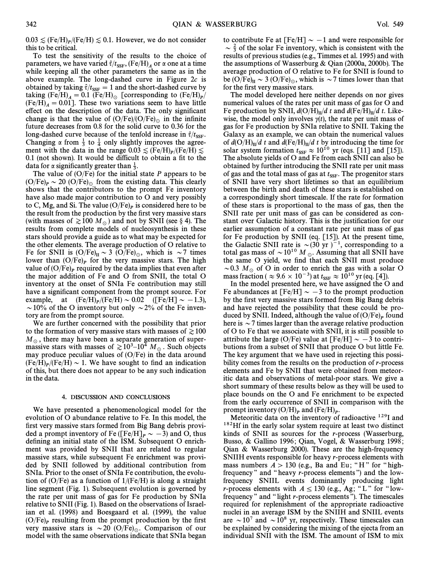$0.03 \leq (Fe/H)_P / (Fe/H) \leq 0.1$ . However, we do not consider this to be critical this to be critical.

To test the sensitivity of the results to the choice of parameters, we have varied  $\hat{\tau}/t_{\text{SSF}}$ , (Fe/H)<sub>A</sub> or  $\alpha$  one at a time while keeping all the other parameters the same as in the above example. The long-dashed curve in Figure  $2c$  is obtained by taking  $\hat{\tau}/t_{\text{SSF}} = 1$  and the short-dashed curve by  $t_{\text{skin}}$  (Ee/H)  $= 0.1$  (Ee/H)  $= 0.1$  (Ee/H)  $= 0.1$ taking  $(Fe/H)_A = 0.1$   $(Fe/H)_\odot$  [corresponding to  $(Fe/H)_P/(Fe/H)$  – 0.011. These two variations seem to have little  $(Fe/H)_A = 0.01$ . These two variations seem to have little effect on the description of the data. The only significant change is that the value of  $(O/Fe)/(O/Fe)_{\odot}$  in the infinite future decreases from 0.8 for the solid curve to 0.36 for the long-dashed curve because of the tenfold increase in  $\hat{\tau}/t_{\text{SSF}}$ .<br>Changing  $\gamma$  from  $\frac{1}{\epsilon}$  to  $\frac{1}{\epsilon}$  only slightly improves the agree. Changing  $\alpha$  from  $\frac{1}{3}$  to  $\frac{1}{4}$  only slightly improves the agree-<br>ment with the data in the range 0.03 < (Ee/H) /(Ee/H) <  $\frac{1}{2}$  ment with the data in the range 0.03  $\leq$  (Fe/H) $\leq$  (Fe/H) $\leq$  0.1 (not shown). It would be difficult to obtain a fit to the  $0.1$  (not shown). It would be difficult to obtain a fit to the data for  $\alpha$  significantly greater than  $\frac{1}{3}$ .

The value of  $(O/Fe)$  for the initial state P appears to be  $(O/Fe)_P \sim 20~(O/Fe)_{\odot}$  from the existing data. This clearly shows that the contributors to the prompt Fe inventory have also made major contribution to O and very possibly to C, Mg, and Si. The value  $(O/Fe)_P$  is considered here to be the result from the production by the first very massive stars (with masses of  $\geq 100 M_{\odot}$ ) and not by SNII (see § 4). The results from complete models of nucleosynthesis in these stars should provide a guide as to what may be expected for the other elements. The average production of O relative to Fe for SNII is  $(O/Fe)_{II} \sim 3$   $(O/Fe)_{\odot}$ , which is  $\sim$  7 times lower than  $(O/Fe)_P$  for the very massive stars. The high value of  $(O/Fe)<sub>P</sub>$  required by the data implies that even after the major addition of Fe and O from SNII, the total O inventory at the onset of SNIa Fe contribution may still have a significant component from the prompt source. For example, at  $(Fe/H)_P/(Fe/H) \sim 0.02$   $([Fe/H] \sim -1.3)$ ,  $\approx 10\%$  of the O inventory but only  $\approx 2\%$  of the Fe inven  $\sim$  10% of the O inventory but only  $\sim$  2% of the Fe inventory are from the prompt source.

We are further concerned with the possibility that prior to the formation of very massive stars with masses of  $\geq 100$  $M_{\odot}$ , there may have been a separate generation of supermassive stars with masses of  $\gtrsim 10^3$ –10<sup>4</sup> M<sub>o</sub>. Such objects may produce peculiar values of (O/Fe) in the data around  $(Fe/H)_P / (Fe/H) \sim 1$ . We have sought to find an indication of this but there does not appear to be any such indication of this, but there does not appear to be any such indication in the data.

#### 4. DISCUSSION AND CONCLUSIONS

We have presented a phenomenological model for the evolution of O abundance relative to Fe. In this model, the first very massive stars formed from Big Bang debris provided a prompt inventory of Fe ([Fe/H] $_{P} \sim -3$ ) and O, thus defining an initial state of the ISM. Subsequent O enrichment was provided by SNII that are related to regular massive stars, while subsequent Fe enrichment was provided by SNII followed by additional contribution from SNIa. Prior to the onset of SNIa Fe contribution, the evolution of  $(O/Fe)$  as a function of  $1/(Fe/H)$  is along a straight line segment (Fig. 1). Subsequent evolution is governed by the rate per unit mass of gas for Fe production by SNIa relative to SNII (Fig. 1). Based on the observations of Israelian et al. (1998) and Boesgaard et al. (1999), the value (O/Fe)<sub>*P*</sub> resulting from the prompt production by the first very massive stars is  $\sim$  20 (O/Fe)<sub> $\odot$ </sub>. Comparison of our model with the same observations indicate that SNIa began

to contribute Fe at [Fe/H]  $\sim -1$  and were responsible for  $\sim \frac{2}{3}$  of the solar Fe inventory, which is consistent with the results of previous studies (e.g., Timmes et al. 1995) and with the assumptions of Wasserburg & Qian (2000a, 2000b). The average production of O relative to Fe for SNII is found to be  $(O/Fe)_{II} \sim 3 (O/Fe)_{\odot}$ , which is  $\sim$  7 times lower than that for the first very massive stars.

The model developed here neither depends on nor gives numerical values of the rates per unit mass of gas for O and Fe production by SNII,  $d(O/H)_{II}/dt$  and  $d(Fe/H)_{II}/dt$ . Likewise, the model only involves  $y(t)$ , the rate per unit mass of gas for Fe production by SNIa relative to SNII. Taking the Galaxy as an example, we can obtain the numerical values of  $d(O/H)_{II}/d$  t and  $d(Fe/H)_{II}/d$  t by introducing the time for solar system formation  $t_{SSF} \approx 10^{10}$  yr (eqs. [11] and [15]).<br>The absolute vields of O and Fe from each SNII can also be The absolute yields of O and Fe from each SNII can also be obtained by further introducing the SNII rate per unit mass of gas and the total mass of gas at  $t_{\text{SSF}}$ . The progenitor stars of SNII have very short lifetimes so that an equilibrium of SNII have very short lifetimes so that an equilibrium between the birth and death of these stars is established on a correspondingly short timescale. If the rate for formation of these stars is proportional to the mass of gas, then the SNII rate per unit mass of gas can be considered as constant over Galactic history. This is the justification for our earlier assumption of a constant rate per unit mass of gas for Fe production by SNII (eq. [15]). At the present time, the Galactic SNII rate is  $\sim (30 \text{ yr})^{-1}$ , corresponding to a total gas mass of  $\sim 10^{10} M_{\odot}$ . Assuming that all SNII have the same O yield, we find that each SNII must produce ~0.3  $M_\odot$  of O in order to enrich the gas with a solar O mass fraction (  $\approx 9.6 \times 10^{-3}$ ) at  $t_{\text{SSF}} \approx 10^{10}$  yr (eq. [4]).<br>In the model presented here, we have assigned the O

In the model presented here, we have assigned the O and Fe abundances at [Fe/H]  $\sim -3$  to the prompt production by the first very massive stars formed from Big Bang debris and have rejected the possibility that these could be produced by SNII. Indeed, although the value of  $(O/Fe)_P$  found here is  $\sim$  7 times larger than the average relative production of O to Fe that we associate with SNII, it is still possible to attribute the large (O/Fe) value at  $[Fe/H] \sim -3$  to contributions from a subset of SNII that produce O but little Fe. The key argument that we have used in rejecting this possibility comes from the results on the production of r-process elements and Fe by SNII that were obtained from meteoritic data and observations of metal-poor stars. We give a short summary of these results below as they will be used to place bounds on the O and Fe enrichment to be expected from the early occurrence of SNII in comparison with the prompt inventory  $(O/H)_P$  and  $(Fe/H)_P$ .<br>Meteoritic data on the inventory of

Meteoritic data on the inventory of radioactive  $129$ I and <sup>182</sup>Hf in the early solar system require at least two distinct kinds of SNII as sources for the r-process (Wasserburg, Busso, & Gallino 1996; Qian, Vogel, & Wasserburg 1998; Qian & Wasserburg 2000). These are the high-frequency SNIIH events responsible for heavy r-process elements with mass numbers  $A > 130$  (e.g., Ba and Eu; "H" for "highfrequency" and "heavy  $r$ -process elements") and the lowfrequency SNIIL events dominantly producing light *r*-process elements with  $A \le 130$  (e.g., Ag; "L" for "lowfrequency " and "light r-process elements "). The timescales required for replenishment of the appropriate radioactive nuclei in an average ISM by the SNIIH and SNIIL events are  $\sim 10^7$  and  $\sim 10^8$  yr, respectively. These timescales can be explained by considering the mixing of the ejecta from an individual SNII with the ISM. The amount of ISM to mix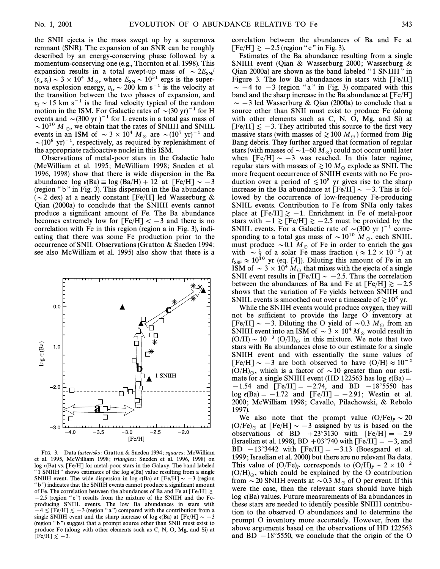the SNII ejecta is the mass swept up by a supernova remnant (SNR). The expansion of an SNR can be roughly described by an energy-conserving phase followed by a momentum-conserving one (e.g., Thornton et al. 1998). This expansion results in a total swept-up mass of  $\sim 2E_{SN}/(n, n) \approx 3 \times 10^4 M$  where  $E_{SN}$  (10<sup>51</sup> ergs is the super- $(v<sub>tr</sub> v<sub>f</sub>) \sim 3 \times 10^4$  M<sub>\opposity</sub> where  $E_{SN} \sim 10^{51}$  ergs is the super-<br>nove explosion energy  $v_0 \sim 200$  km s<sup>-1</sup> is the velocity of nova explosion energy,  $v_{\text{tr}} \sim 200 \text{ km s}^{-1}$  is the velocity at the transition between the two phases of expansion and the transition between the two phases of expansion, and  $v_f \sim 15$  km s<sup>-1</sup> is the final velocity typical of the random<br>motion in the ISM. For Galactic rates of  $\approx (30 \text{ yr})^{-1}$  for H motion in the ISM. For Galactic rates of  $\sim (30 \text{ yr})^{-1}$  for H events and  $\sim$ (300 yr)<sup>-1</sup> for L events in a total gas mass of  $\sim$  10<sup>10</sup> M  $_{\odot}$ , we obtain that the rates of SNIIH and SNIIL events in an ISM of  $\sim 3 \times 10^4$  M<sub>o</sub> are  $\sim (10^7 \text{ yr})^{-1}$  and  $\sim (10^8 \text{ yr})^{-1}$ , respectively, as required by replenishment of the appropriate radioactive nuclei in this ISM.

Observations of metal-poor stars in the Galactic halo (McWilliam et al. 1995; McWilliam 1998; Sneden et al. 1996, 1998) show that there is wide dispersion in the Ba abundance  $\log \epsilon(Ba) \equiv \log (Ba/H) + 12$  at  $[Fe/H] \sim -3$ (region "b" in Fig. 3). This dispersion in the Ba abundance ( $\sim$ 2 dex) at a nearly constant [Fe/H] led Wasserburg & Qian (2000a) to conclude that the SNIIH events cannot produce a significant amount of Fe. The Ba abundance becomes extremely low for  $[Fe/H] < -3$  and there is no correlation with Fe in this region (region a in Fig. 3), indicating that there was some Fe production prior to the occurrence of SNII. Observations (Gratton & Sneden 1994 ; see also McWilliam et al. 1995) also show that there is a



FIG. 3.-Data (asterisks: Gratton & Sneden 1994; squares: McWilliam et al. 1995, McWilliam 1998; triangles: Sneden et al. 1996, 1998) on log  $\epsilon(Ba)$  vs. [Fe/H] for metal-poor stars in the Galaxy. The band labeled "1 SNIIH" shows estimates of the log  $\epsilon(Ba)$  value resulting from a single SNIIH event. The wide dispersion in log  $\epsilon(Ba)$  at  $[Fe/H] \sim -3$  (region "b") indicates that the SNIIH events cannot produce a significant amount of Fe. The correlation between the abundances of Ba and Fe at  $[Fe/H] \ge$  $-2.5$  (region "c") results from the mixture of the SNIIH and the Feproducing SNIIL events. The low Ba abundances in stars with  $[-4 \leq$  [Fe/H] $\leq -3$  (region "a") compared with the contribution from a single SNIIH event and the sharp increase of log  $\epsilon(Ba)$  at [Fe/H]  $\sim -3$ (region "b") suggest that a prompt source other than SNII must exist to produce Fe (along with other elements such as C, N, O, Mg, and Si) at  $[Fe/H] \le -3.$ 

correlation between the abundances of Ba and Fe at  $[Fe/H] \gtrsim -2.5$  (region " c " in Fig. 3).

Estimates of the Ba abundance resulting from a single SNIIH event (Qian & Wasserburg 2000; Wasserburg & Qian 2000a) are shown as the band labeled "1 SNIIH" in Figure 3. The low Ba abundances in stars with  $[Fe/H]$  $\sim -4$  to  $-3$  (region "a" in Fig. 3) compared with this band and the sharp increase in the Ba abundance at [Fe/H]  $\sim$  -3 led Wasserburg & Qian (2000a) to conclude that a source other than SNII must exist to produce Fe (along with other elements such as C, N, O, Mg, and Si) at  $[Fe/H] \le -3$ . They attributed this source to the first very massive stars (with masses of  $\gtrsim 100 M_\odot$ ) formed from Big Bang debris. They further argued that formation of regular stars (with masses of  $\sim$  1–60 M<sub>\o</sub>) could not occur until later when  $[Fe/H] \sim -3$  was reached. In this later regime, regular stars with masses of  $\gtrsim 10 M_\odot$  explode as SNII. The more frequent occurrence of SNIIH events with no Fe production over a period of  $\leq 10^8$  yr gives rise to the sharp increase in the Ba abundance at  $[Fe/H] \sim -3$ . This is followed by the occurrence of low-frequency Fe-producing SNIIL events. Contribution to Fe from SNIa only takes place at  $[Fe/H] \ge -1$ . Enrichment in Fe of metal-poor stars with  $-1 \geq [Fe/H] \geq -2.5$  must be provided by the SNIIL events. For a Galactic rate of  $\sim (300 \text{ yr})^{-1}$  corresponding to a total gas mass of  $\sim 10^{10}$  M  $_{\odot}$ , each SNIIL must produce  $\sim 0.1$   $M_{\odot}$  of Fe in order to enrich the gas with  $\sim \frac{1}{3}$  of a solar Fe mass fraction ( $\approx 1.2 \times 10^{-3}$ ) at with  $\sim \frac{1}{3}$  of a solar Fe mass fraction ( $\approx 1.2 \times 10^{-3}$ ) at  $t_{\text{SSF}} \approx 10^{10}$  yr (eq. [4]). Diluting this amount of Fe in an SSM of  $\approx 3 \times 10^4$  M, that mixes with the ejects of a single ISM of  $\sim 3 \times 10^4 M_{\odot}$  that mixes with the ejecta of a single<br>SNII event results in FFe/H<sub>1</sub> and 2.5. Thus the correlation SNII event results in [Fe/H]  $\sim -2.5$ . Thus the correlation between the abundances of Ba and Fe at  $[Fe/H] \ge -2.5$ shows that the variation of Fe yields between SNIIH and SNIIL events is smoothed out over a timescale of  $\gtrsim 10^8$  yr.

While the SNIIH events would produce oxygen, they will not be sufficient to provide the large O inventory at [Fe/H]  $\sim$  -3. Diluting the O yield of  $\sim$ 0.3  $M_\odot$  from an SNIIH event into an ISM of  $\sim 3 \times 10^4 M_{\odot}$  would result in  $(O/H) \sim 10^{-3}$   $(O/H)_{\odot}$  in this mixture. We note that two stars with Ba abundances close to our estimate for a single SNIIH event and with essentially the same values of  $[Fe/H] \sim -3$  are both observed to have  $(O/H) \approx 10^{-2}$  $(O/H)_{\odot}$ , which is a factor of  $\sim 10$  greater than our estimate for a single SNIIH event (HD 122563 has log  $\epsilon(Ba)$  =  $-1.54$  and  $[Fe/H] = -2.74$ , and BD  $-18°5550$  has  $\log \epsilon(Ba) = -1.72$  and  $[Fe/H] = -2.91$ ; Westin et al. 2000; McWilliam 1998; Cavallo, Pilachowski, & Rebolo 1997).

We also note that the prompt value  $(O/Fe)_P \sim 20$  $(O/Fe)_{\odot}$  at [Fe/H]  $\sim -3$  assigned by us is based on the observations of BD  $+23^{\circ}3130$  with  $[Fe/H] = -2.9$ (Israelian et al. 1998), BD  $+03^{\circ}740$  with  $[Fe/H] = -3$ , and BD  $-13^{\circ}3442$  with  $[Fe/H] = -3.13$  (Boesgaard et al. 1999 ; Israelian et al. 2000) but there are no relevant Ba data. This value of  $(O/Fe)_P$  corresponds to  $(O/H)_P \sim 2 \times 10^{-2}$  $(O/H)_{\odot}$ , which could be explained by the O contribution from  $\sim$  20 SNIIH events at  $\sim$  0.3  $M_\odot$  of O per event. If this were the case, then the relevant stars should have high  $\log \epsilon(Ba)$  values. Future measurements of Ba abundances in these stars are needed to identify possible SNIIH contribution to the observed O abundances and to determine the prompt O inventory more accurately. However, from the above arguments based on the observations of HD 122563 and BD  $-18°5550$ , we conclude that the origin of the O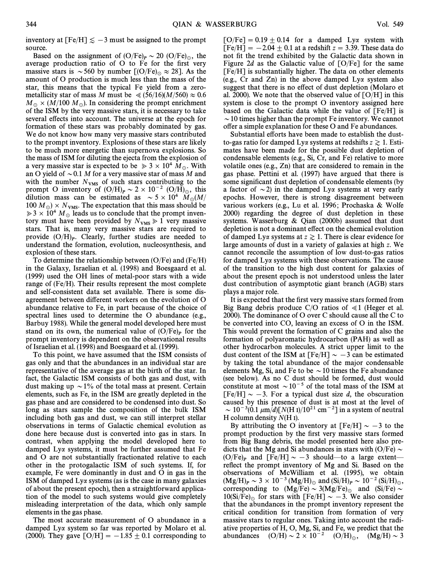inventory at  $[Fe/H] \le -3$  must be assigned to the prompt source.

Based on the assignment of  $(O/Fe)_P \sim 20$   $(O/Fe)_\odot$ , the average production ratio of  $O$  to Fe for the first very massive stars is  $\sim$  560 by number [(O/Fe)<sub> $\odot$ </sub>  $\approx$  28]. As the amount of O production is much less than the mass of the star, this means that the typical Fe yield from a zerometallicity star of mass M must be  $\ll (56/16)(M/560) \approx 0.6$  $M_\odot \times (M/100 M_\odot)$ . In considering the prompt enrichment of the ISM by the very massive stars, it is necessary to take several effects into account. The universe at the epoch for formation of these stars was probably dominated by gas. We do not know how many very massive stars contributed to the prompt inventory. Explosions of these stars are likely to be much more energetic than supernova explosions. So the mass of ISM for diluting the ejecta from the explosion of a very massive star is expected to be  $\gg 3 \times 10^4$  M<sub>o</sub>. With an O yield of  $\sim 0.1$  M for a very massive star of mass M and with the number  $N_{VMS}$  of such stars contributing to the prompt O inventory of  $(O/H)_P \sim 2 \times 10^{-2}$   $(O/H)_\odot$ , this dilution mass can be estimated as  $\sim 5 \times 10^4$  M<sub>o</sub>(M/ 100  $M_\odot$ ) ×  $N_{VMS}$ . The expectation that this mass should be  $\geq 3 \times 10^4$  M<sub>\o</sub> leads us to conclude that the prompt inventory must have been provided by  $N_{VMS} \ge 1$  very massive stars. That is, many very massive stars are required to provide  $(O/H)<sub>p</sub>$ . Clearly, further studies are needed to understand the formation evolution pucleosynthesis and understand the formation, evolution, nucleosynthesis, and explosion of these stars.

To determine the relationship between  $(O/Fe)$  and  $(Fe/H)$ in the Galaxy, Israelian et al. (1998) and Boesgaard et al. (1999) used the OH lines of metal-poor stars with a wide range of (Fe/H). Their results represent the most complete and self-consistent data set available. There is some disagreement between different workers on the evolution of O abundance relative to Fe, in part because of the choice of spectral lines used to determine the O abundance (e.g., Barbuy 1988). While the general model developed here must stand on its own, the numerical value of  $(O/Fe)<sub>P</sub>$  for the prompt inventory is dependent on the observational results of Israelian et al. (1998) and Boesgaard et al. (1999).

To this point, we have assumed that the ISM consists of gas only and that the abundances in an individual star are representative of the average gas at the birth of the star. In fact, the Galactic ISM consists of both gas and dust, with dust making up  $\sim$  1% of the total mass at present. Certain elements, such as Fe, in the ISM are greatly depleted in the gas phase and are considered to be condensed into dust. So long as stars sample the composition of the bulk ISM including both gas and dust, we can still interpret stellar observations in terms of Galactic chemical evolution as done here because dust is converted into gas in stars. In contrast, when applying the model developed here to damped Lya systems, it must be further assumed that Fe and O are not substantially fractionated relative to each other in the protogalactic ISM of such systems. If, for example, Fe were dominantly in dust and O in gas in the ISM of damped Lya systems (as is the case in many galaxies of about the present epoch), then a straightforward application of the model to such systems would give completely misleading interpretation of the data, which only sample elements in the gas phase.

The most accurate measurement of O abundance in a damped Lya system so far was reported by Molaro et al. (2000). They gave  $\text{[O/H]} = -1.85 \pm 0.1$  corresponding to

 $[O/Fe] = 0.19 \pm 0.14$  for a damped Lya system with  $[Fe/H] = -2.04 \pm 0.1$  at a redshift  $z = 3.39$ . These data do not fit the trend exhibited by the Galactic data shown in Figure 2d as the Galactic value of  $[O/Fe]$  for the same [Fe/H] is substantially higher. The data on other elements (e.g., Cr and Zn) in the above damped Lya system also suggest that there is no effect of dust depletion (Molaro et al. 2000). We note that the observed value of [O/H] in this system is close to the prompt O inventory assigned here based on the Galactic data while the value of [Fe/H] is  $\sim$  10 times higher than the prompt Fe inventory. We cannot offer a simple explanation for these O and Fe abundances.

Substantial efforts have been made to establish the dustto-gas ratio for damped Ly $\alpha$  systems at redshifts  $z \ge 1$ . Estimates have been made for the possible dust depletion of condensable elements (e.g., Si, Cr, and Fe) relative to more volatile ones (e.g., Zn) that are considered to remain in the gas phase. Pettini et al. (1997) have argued that there is some significant dust depletion of condensable elements (by a factor of  $\sim$  2) in the damped Ly $\alpha$  systems at very early epochs. However, there is strong disagreement between various workers (e.g., Lu et al. 1996; Prochaska & Wolfe 2000) regarding the degree of dust depletion in these systems. Wasserburg & Qian (2000b) assumed that dust depletion is not a dominant effect on the chemical evolution of damped Lya systems at  $z \ge 1$ . There is clear evidence for large amounts of dust in a variety of galaxies at high z. We cannot reconcile the assumption of low dust-to-gas ratios for damped Lya systems with these observations. The cause of the transition to the high dust content for galaxies of about the present epoch is not understood unless the later dust contribution of asymptotic giant branch (AGB) stars plays a major role.

It is expected that the first very massive stars formed from Big Bang debris produce  $C/O$  ratios of  $\leq 1$  (Heger et al. 2000). The dominance of O over C should cause all the C to be converted into CO, leaving an excess of O in the ISM. This would prevent the formation of C grains and also the formation of polyaromatic hydrocarbon (PAH) as well as other hydrocarbon molecules. A strict upper limit to the dust content of the ISM at  $[Fe/H] \sim -3$  can be estimated by taking the total abundance of the major condensable elements Mg, Si, and Fe to be  $\sim$  10 times the Fe abundance (see below). As no C dust should be formed, dust would constitute at most  $\sim 10^{-5}$  of the total mass of the ISM at  $[Fe/H] \sim -3$ . For a typical dust size d, the obscuration caused by this presence of dust is at most at the level of  $\sim 10^{-3}(0.1 \ \mu m/d)$ [N(H I)/10<sup>21</sup> cm<sup>-2</sup>] in a system of neutral H column density  $N(H I)$ .

By attributing the O inventory at  $[Fe/H] \sim -3$  to the prompt production by the first very massive stars formed from Big Bang debris, the model presented here also predicts that the Mg and Si abundances in stars with (O/Fe)  $\sim$ (O/Fe)<sub>P</sub> and [Fe/H]  $\sim -3$  should—to a large extent—reflect the prompt inventory of Mg and Si. Based on the observations of McWilliam et al. (1995), we obtain  $(Mg/H)_P \sim 3 \times 10^{-3} (Mg/H)_\odot$  and  $(Si/H)_P \sim 10^{-2} (Si/H)_\odot$ ,<br>corresponding to  $(Mg/H)_\odot$ ,  $3(Mg/H)_\odot$ , and  $(Si/H)_\odot$ , corresponding to  $(Mg/Fe) \sim 3(Mg/Fe)_{\odot}$  and  $(Si/Fe) \sim 10(Si/Fe)$  for stars with EFe/H<sub>1</sub> and 3. We also consider  $10(Si/Fe)_{\odot}$  for stars with [Fe/H]  $\sim -3$ . We also consider that the abundances in the prompt inventory represent the critical condition for transition from formation of very massive stars to regular ones. Taking into account the radiative properties of H, O, Mg, Si, and Fe, we predict that the abundances  $(O/H) \sim 2 \times 10^{-2}$   $(O/H)_{\odot}$ ,  $(Mg/H) \sim 3$